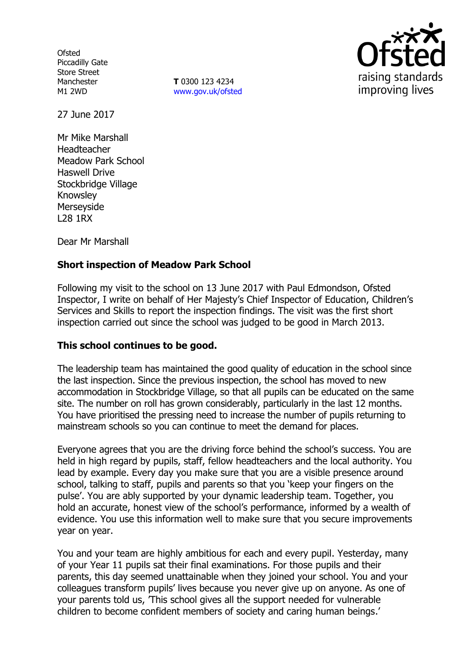**Ofsted** Piccadilly Gate Store Street Manchester M1 2WD

**T** 0300 123 4234 www.gov.uk/ofsted



27 June 2017

Mr Mike Marshall Headteacher Meadow Park School Haswell Drive Stockbridge Village Knowsley Merseyside L28 1RX

Dear Mr Marshall

# **Short inspection of Meadow Park School**

Following my visit to the school on 13 June 2017 with Paul Edmondson, Ofsted Inspector, I write on behalf of Her Majesty's Chief Inspector of Education, Children's Services and Skills to report the inspection findings. The visit was the first short inspection carried out since the school was judged to be good in March 2013.

## **This school continues to be good.**

The leadership team has maintained the good quality of education in the school since the last inspection. Since the previous inspection, the school has moved to new accommodation in Stockbridge Village, so that all pupils can be educated on the same site. The number on roll has grown considerably, particularly in the last 12 months. You have prioritised the pressing need to increase the number of pupils returning to mainstream schools so you can continue to meet the demand for places.

Everyone agrees that you are the driving force behind the school's success. You are held in high regard by pupils, staff, fellow headteachers and the local authority. You lead by example. Every day you make sure that you are a visible presence around school, talking to staff, pupils and parents so that you 'keep your fingers on the pulse'. You are ably supported by your dynamic leadership team. Together, you hold an accurate, honest view of the school's performance, informed by a wealth of evidence. You use this information well to make sure that you secure improvements year on year.

You and your team are highly ambitious for each and every pupil. Yesterday, many of your Year 11 pupils sat their final examinations. For those pupils and their parents, this day seemed unattainable when they joined your school. You and your colleagues transform pupils' lives because you never give up on anyone. As one of your parents told us, 'This school gives all the support needed for vulnerable children to become confident members of society and caring human beings.'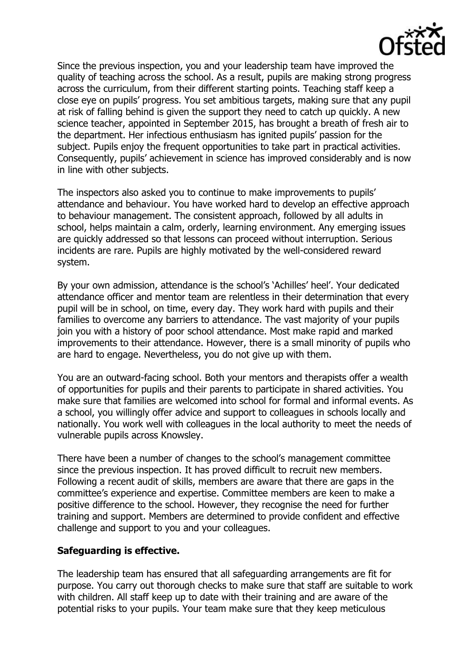

Since the previous inspection, you and your leadership team have improved the quality of teaching across the school. As a result, pupils are making strong progress across the curriculum, from their different starting points. Teaching staff keep a close eye on pupils' progress. You set ambitious targets, making sure that any pupil at risk of falling behind is given the support they need to catch up quickly. A new science teacher, appointed in September 2015, has brought a breath of fresh air to the department. Her infectious enthusiasm has ignited pupils' passion for the subject. Pupils enjoy the frequent opportunities to take part in practical activities. Consequently, pupils' achievement in science has improved considerably and is now in line with other subjects.

The inspectors also asked you to continue to make improvements to pupils' attendance and behaviour. You have worked hard to develop an effective approach to behaviour management. The consistent approach, followed by all adults in school, helps maintain a calm, orderly, learning environment. Any emerging issues are quickly addressed so that lessons can proceed without interruption. Serious incidents are rare. Pupils are highly motivated by the well-considered reward system.

By your own admission, attendance is the school's 'Achilles' heel'. Your dedicated attendance officer and mentor team are relentless in their determination that every pupil will be in school, on time, every day. They work hard with pupils and their families to overcome any barriers to attendance. The vast majority of your pupils join you with a history of poor school attendance. Most make rapid and marked improvements to their attendance. However, there is a small minority of pupils who are hard to engage. Nevertheless, you do not give up with them.

You are an outward-facing school. Both your mentors and therapists offer a wealth of opportunities for pupils and their parents to participate in shared activities. You make sure that families are welcomed into school for formal and informal events. As a school, you willingly offer advice and support to colleagues in schools locally and nationally. You work well with colleagues in the local authority to meet the needs of vulnerable pupils across Knowsley.

There have been a number of changes to the school's management committee since the previous inspection. It has proved difficult to recruit new members. Following a recent audit of skills, members are aware that there are gaps in the committee's experience and expertise. Committee members are keen to make a positive difference to the school. However, they recognise the need for further training and support. Members are determined to provide confident and effective challenge and support to you and your colleagues.

## **Safeguarding is effective.**

The leadership team has ensured that all safeguarding arrangements are fit for purpose. You carry out thorough checks to make sure that staff are suitable to work with children. All staff keep up to date with their training and are aware of the potential risks to your pupils. Your team make sure that they keep meticulous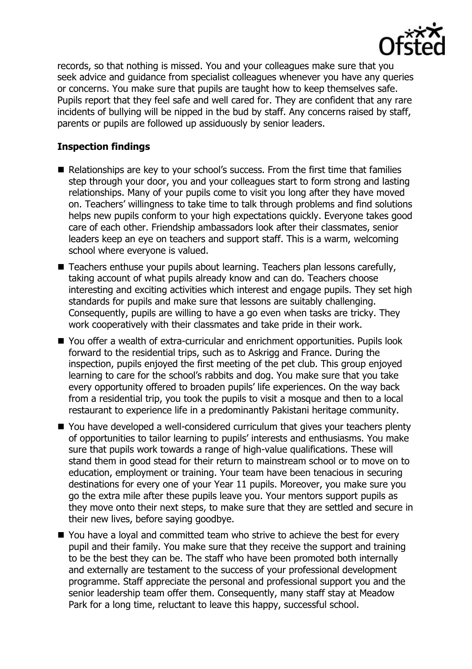

records, so that nothing is missed. You and your colleagues make sure that you seek advice and guidance from specialist colleagues whenever you have any queries or concerns. You make sure that pupils are taught how to keep themselves safe. Pupils report that they feel safe and well cared for. They are confident that any rare incidents of bullying will be nipped in the bud by staff. Any concerns raised by staff, parents or pupils are followed up assiduously by senior leaders.

## **Inspection findings**

- Relationships are key to your school's success. From the first time that families step through your door, you and your colleagues start to form strong and lasting relationships. Many of your pupils come to visit you long after they have moved on. Teachers' willingness to take time to talk through problems and find solutions helps new pupils conform to your high expectations quickly. Everyone takes good care of each other. Friendship ambassadors look after their classmates, senior leaders keep an eye on teachers and support staff. This is a warm, welcoming school where everyone is valued.
- Teachers enthuse your pupils about learning. Teachers plan lessons carefully, taking account of what pupils already know and can do. Teachers choose interesting and exciting activities which interest and engage pupils. They set high standards for pupils and make sure that lessons are suitably challenging. Consequently, pupils are willing to have a go even when tasks are tricky. They work cooperatively with their classmates and take pride in their work.
- You offer a wealth of extra-curricular and enrichment opportunities. Pupils look forward to the residential trips, such as to Askrigg and France. During the inspection, pupils enjoyed the first meeting of the pet club. This group enjoyed learning to care for the school's rabbits and dog. You make sure that you take every opportunity offered to broaden pupils' life experiences. On the way back from a residential trip, you took the pupils to visit a mosque and then to a local restaurant to experience life in a predominantly Pakistani heritage community.
- You have developed a well-considered curriculum that gives your teachers plenty of opportunities to tailor learning to pupils' interests and enthusiasms. You make sure that pupils work towards a range of high-value qualifications. These will stand them in good stead for their return to mainstream school or to move on to education, employment or training. Your team have been tenacious in securing destinations for every one of your Year 11 pupils. Moreover, you make sure you go the extra mile after these pupils leave you. Your mentors support pupils as they move onto their next steps, to make sure that they are settled and secure in their new lives, before saying goodbye.
- You have a loyal and committed team who strive to achieve the best for every pupil and their family. You make sure that they receive the support and training to be the best they can be. The staff who have been promoted both internally and externally are testament to the success of your professional development programme. Staff appreciate the personal and professional support you and the senior leadership team offer them. Consequently, many staff stay at Meadow Park for a long time, reluctant to leave this happy, successful school.